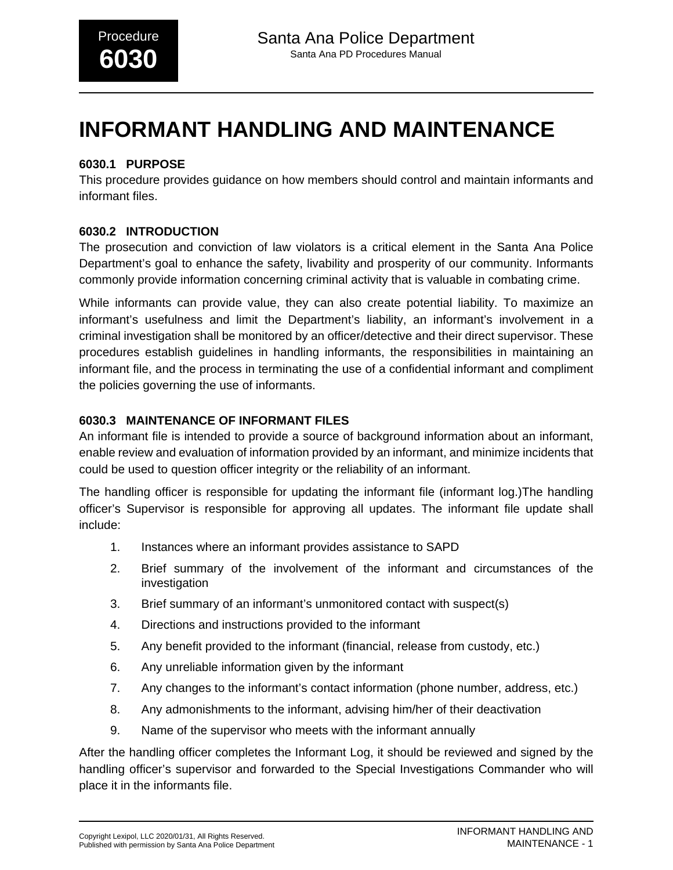# **INFORMANT HANDLING AND MAINTENANCE**

# **6030.1 PURPOSE**

This procedure provides guidance on how members should control and maintain informants and informant files.

# **6030.2 INTRODUCTION**

The prosecution and conviction of law violators is a critical element in the Santa Ana Police Department's goal to enhance the safety, livability and prosperity of our community. Informants commonly provide information concerning criminal activity that is valuable in combating crime.

While informants can provide value, they can also create potential liability. To maximize an informant's usefulness and limit the Department's liability, an informant's involvement in a criminal investigation shall be monitored by an officer/detective and their direct supervisor. These procedures establish guidelines in handling informants, the responsibilities in maintaining an informant file, and the process in terminating the use of a confidential informant and compliment the policies governing the use of informants.

# **6030.3 MAINTENANCE OF INFORMANT FILES**

An informant file is intended to provide a source of background information about an informant, enable review and evaluation of information provided by an informant, and minimize incidents that could be used to question officer integrity or the reliability of an informant.

The handling officer is responsible for updating the informant file (informant log.)The handling officer's Supervisor is responsible for approving all updates. The informant file update shall include:

- 1. Instances where an informant provides assistance to SAPD
- 2. Brief summary of the involvement of the informant and circumstances of the investigation
- 3. Brief summary of an informant's unmonitored contact with suspect(s)
- 4. Directions and instructions provided to the informant
- 5. Any benefit provided to the informant (financial, release from custody, etc.)
- 6. Any unreliable information given by the informant
- 7. Any changes to the informant's contact information (phone number, address, etc.)
- 8. Any admonishments to the informant, advising him/her of their deactivation
- 9. Name of the supervisor who meets with the informant annually

After the handling officer completes the Informant Log, it should be reviewed and signed by the handling officer's supervisor and forwarded to the Special Investigations Commander who will place it in the informants file.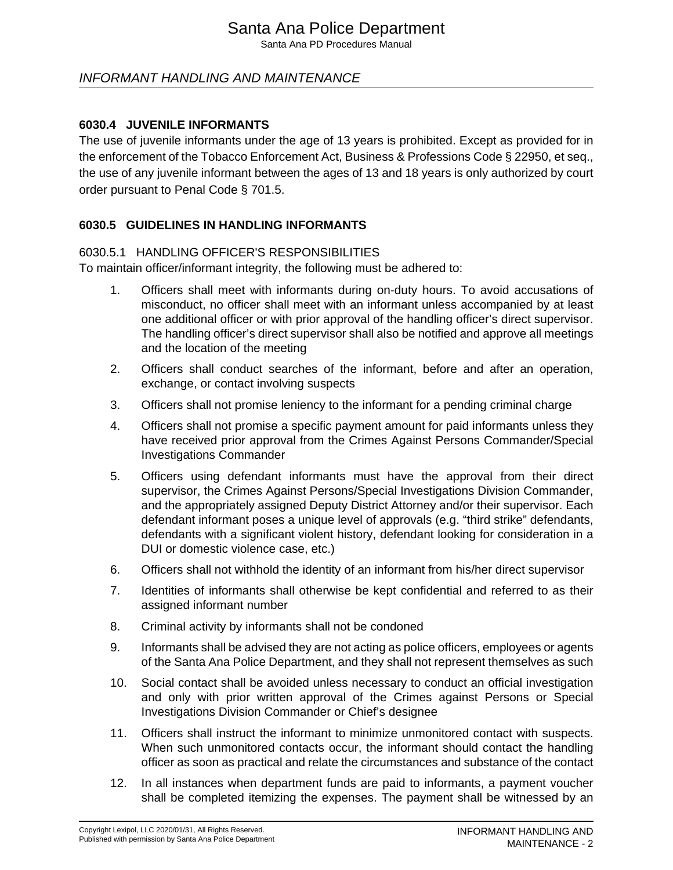# Santa Ana Police Department

Santa Ana PD Procedures Manual

# INFORMANT HANDLING AND MAINTENANCE

#### **6030.4 JUVENILE INFORMANTS**

The use of juvenile informants under the age of 13 years is prohibited. Except as provided for in the enforcement of the Tobacco Enforcement Act, Business & Professions Code § 22950, et seq., the use of any juvenile informant between the ages of 13 and 18 years is only authorized by court order pursuant to Penal Code § 701.5.

#### **6030.5 GUIDELINES IN HANDLING INFORMANTS**

#### 6030.5.1 HANDLING OFFICER'S RESPONSIBILITIES

To maintain officer/informant integrity, the following must be adhered to:

- 1. Officers shall meet with informants during on-duty hours. To avoid accusations of misconduct, no officer shall meet with an informant unless accompanied by at least one additional officer or with prior approval of the handling officer's direct supervisor. The handling officer's direct supervisor shall also be notified and approve all meetings and the location of the meeting
- 2. Officers shall conduct searches of the informant, before and after an operation, exchange, or contact involving suspects
- 3. Officers shall not promise leniency to the informant for a pending criminal charge
- 4. Officers shall not promise a specific payment amount for paid informants unless they have received prior approval from the Crimes Against Persons Commander/Special Investigations Commander
- 5. Officers using defendant informants must have the approval from their direct supervisor, the Crimes Against Persons/Special Investigations Division Commander, and the appropriately assigned Deputy District Attorney and/or their supervisor. Each defendant informant poses a unique level of approvals (e.g. "third strike" defendants, defendants with a significant violent history, defendant looking for consideration in a DUI or domestic violence case, etc.)
- 6. Officers shall not withhold the identity of an informant from his/her direct supervisor
- 7. Identities of informants shall otherwise be kept confidential and referred to as their assigned informant number
- 8. Criminal activity by informants shall not be condoned
- 9. Informants shall be advised they are not acting as police officers, employees or agents of the Santa Ana Police Department, and they shall not represent themselves as such
- 10. Social contact shall be avoided unless necessary to conduct an official investigation and only with prior written approval of the Crimes against Persons or Special Investigations Division Commander or Chief's designee
- 11. Officers shall instruct the informant to minimize unmonitored contact with suspects. When such unmonitored contacts occur, the informant should contact the handling officer as soon as practical and relate the circumstances and substance of the contact
- 12. In all instances when department funds are paid to informants, a payment voucher shall be completed itemizing the expenses. The payment shall be witnessed by an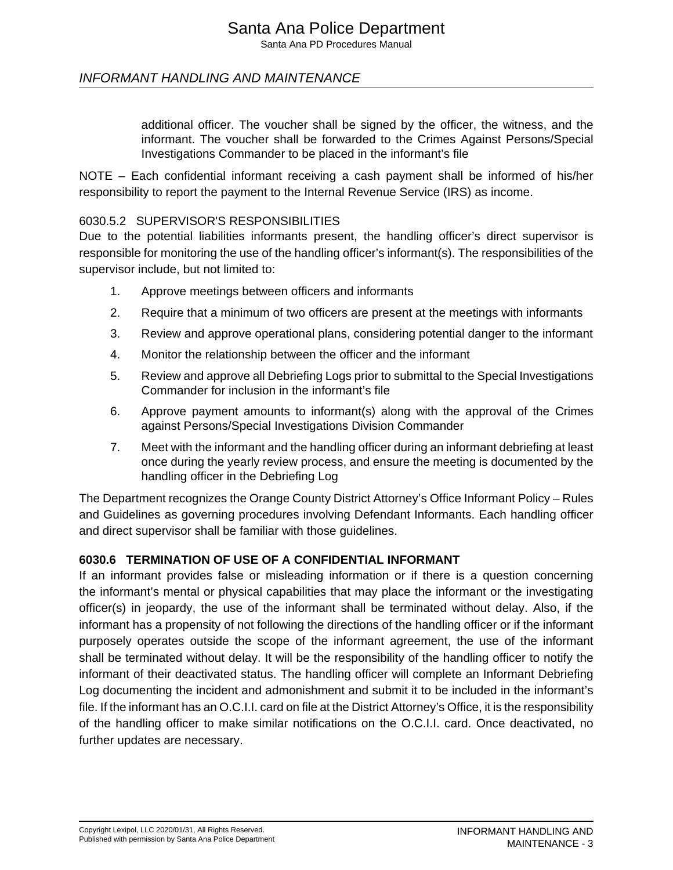# Santa Ana Police Department

Santa Ana PD Procedures Manual

# INFORMANT HANDLING AND MAINTENANCE

additional officer. The voucher shall be signed by the officer, the witness, and the informant. The voucher shall be forwarded to the Crimes Against Persons/Special Investigations Commander to be placed in the informant's file

NOTE – Each confidential informant receiving a cash payment shall be informed of his/her responsibility to report the payment to the Internal Revenue Service (IRS) as income.

#### 6030.5.2 SUPERVISOR'S RESPONSIBILITIES

Due to the potential liabilities informants present, the handling officer's direct supervisor is responsible for monitoring the use of the handling officer's informant(s). The responsibilities of the supervisor include, but not limited to:

- 1. Approve meetings between officers and informants
- 2. Require that a minimum of two officers are present at the meetings with informants
- 3. Review and approve operational plans, considering potential danger to the informant
- 4. Monitor the relationship between the officer and the informant
- 5. Review and approve all Debriefing Logs prior to submittal to the Special Investigations Commander for inclusion in the informant's file
- 6. Approve payment amounts to informant(s) along with the approval of the Crimes against Persons/Special Investigations Division Commander
- 7. Meet with the informant and the handling officer during an informant debriefing at least once during the yearly review process, and ensure the meeting is documented by the handling officer in the Debriefing Log

The Department recognizes the Orange County District Attorney's Office Informant Policy – Rules and Guidelines as governing procedures involving Defendant Informants. Each handling officer and direct supervisor shall be familiar with those guidelines.

#### **6030.6 TERMINATION OF USE OF A CONFIDENTIAL INFORMANT**

If an informant provides false or misleading information or if there is a question concerning the informant's mental or physical capabilities that may place the informant or the investigating officer(s) in jeopardy, the use of the informant shall be terminated without delay. Also, if the informant has a propensity of not following the directions of the handling officer or if the informant purposely operates outside the scope of the informant agreement, the use of the informant shall be terminated without delay. It will be the responsibility of the handling officer to notify the informant of their deactivated status. The handling officer will complete an Informant Debriefing Log documenting the incident and admonishment and submit it to be included in the informant's file. If the informant has an O.C.I.I. card on file at the District Attorney's Office, it is the responsibility of the handling officer to make similar notifications on the O.C.I.I. card. Once deactivated, no further updates are necessary.